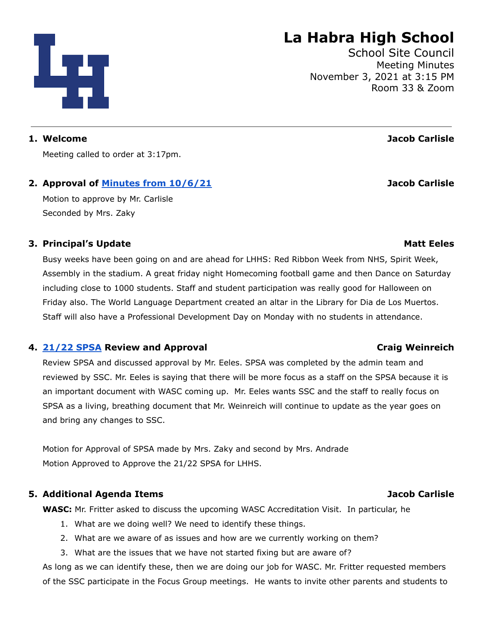Meeting called to order at 3:17pm.

# **2. Approval of Minutes from [10/6/21](https://drive.google.com/file/d/1pof--721x_gPx9ptFgsHgHgS5Agz1rLg/view?usp=sharing) Jacob Carlisle**

Motion to approve by Mr. Carlisle Seconded by Mrs. Zaky

# **3. Principal's Update Matt Eeles**

Busy weeks have been going on and are ahead for LHHS: Red Ribbon Week from NHS, Spirit Week, Assembly in the stadium. A great friday night Homecoming football game and then Dance on Saturday including close to 1000 students. Staff and student participation was really good for Halloween on Friday also. The World Language Department created an altar in the Library for Dia de Los Muertos. Staff will also have a Professional Development Day on Monday with no students in attendance.

# **4. [21/22](https://drive.google.com/file/d/1ZOV9AaGUYSVO3JsJgoW6tkw9E9bx23U5/view?usp=sharing) SPSA Review and Approval Craig Weinreich**

Review SPSA and discussed approval by Mr. Eeles. SPSA was completed by the admin team and reviewed by SSC. Mr. Eeles is saying that there will be more focus as a staff on the SPSA because it is an important document with WASC coming up. Mr. Eeles wants SSC and the staff to really focus on SPSA as a living, breathing document that Mr. Weinreich will continue to update as the year goes on and bring any changes to SSC.

Motion for Approval of SPSA made by Mrs. Zaky and second by Mrs. Andrade Motion Approved to Approve the 21/22 SPSA for LHHS.

# **5. Additional Agenda Items Jacob Carlisle**

**WASC:** Mr. Fritter asked to discuss the upcoming WASC Accreditation Visit. In particular, he

- 1. What are we doing well? We need to identify these things.
- 2. What are we aware of as issues and how are we currently working on them?
- 3. What are the issues that we have not started fixing but are aware of?

As long as we can identify these, then we are doing our job for WASC. Mr. Fritter requested members of the SSC participate in the Focus Group meetings. He wants to invite other parents and students to

# **La Habra High School**

School Site Council Meeting Minutes November 3, 2021 at 3:15 PM Room 33 & Zoom

**1. Welcome Jacob Carlisle**

# Цg